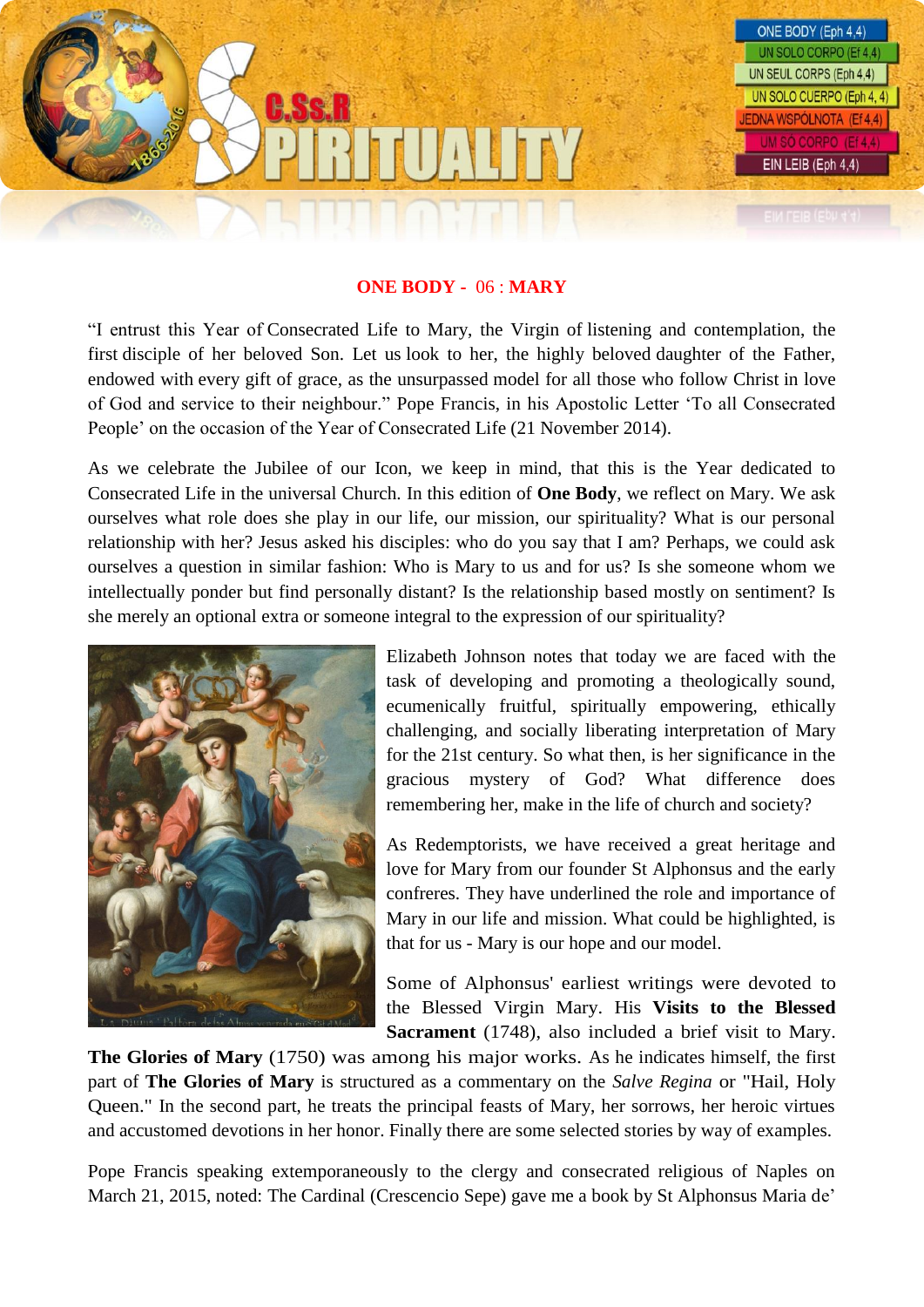

## **ONE BODY -** 06 : **MARY**

"I entrust this Year of Consecrated Life to Mary, the Virgin of listening and contemplation, the first disciple of her beloved Son. Let us look to her, the highly beloved daughter of the Father, endowed with every gift of grace, as the unsurpassed model for all those who follow Christ in love of God and service to their neighbour." Pope Francis, in his Apostolic Letter 'To all Consecrated People' on the occasion of the Year of Consecrated Life (21 November 2014).

As we celebrate the Jubilee of our Icon, we keep in mind, that this is the Year dedicated to Consecrated Life in the universal Church. In this edition of **One Body**, we reflect on Mary. We ask ourselves what role does she play in our life, our mission, our spirituality? What is our personal relationship with her? Jesus asked his disciples: who do you say that I am? Perhaps, we could ask ourselves a question in similar fashion: Who is Mary to us and for us? Is she someone whom we intellectually ponder but find personally distant? Is the relationship based mostly on sentiment? Is she merely an optional extra or someone integral to the expression of our spirituality?



Elizabeth Johnson notes that today we are faced with the task of developing and promoting a theologically sound, ecumenically fruitful, spiritually empowering, ethically challenging, and socially liberating interpretation of Mary for the 21st century. So what then, is her significance in the gracious mystery of God? What difference does remembering her, make in the life of church and society?

As Redemptorists, we have received a great heritage and love for Mary from our founder St Alphonsus and the early confreres. They have underlined the role and importance of Mary in our life and mission. What could be highlighted, is that for us - Mary is our hope and our model.

Some of Alphonsus' earliest writings were devoted to the Blessed Virgin Mary. His **Visits to the Blessed Sacrament** (1748), also included a brief visit to Mary.

**The Glories of Mary** (1750) was among his major works. As he indicates himself, the first part of **The Glories of Mary** is structured as a commentary on the *Salve Regina* or "Hail, Holy Queen." In the second part, he treats the principal feasts of Mary, her sorrows, her heroic virtues and accustomed devotions in her honor. Finally there are some selected stories by way of examples.

Pope Francis speaking extemporaneously to the clergy and consecrated religious of Naples on March 21, 2015, noted: The Cardinal (Crescencio Sepe) gave me a book by St Alphonsus Maria de'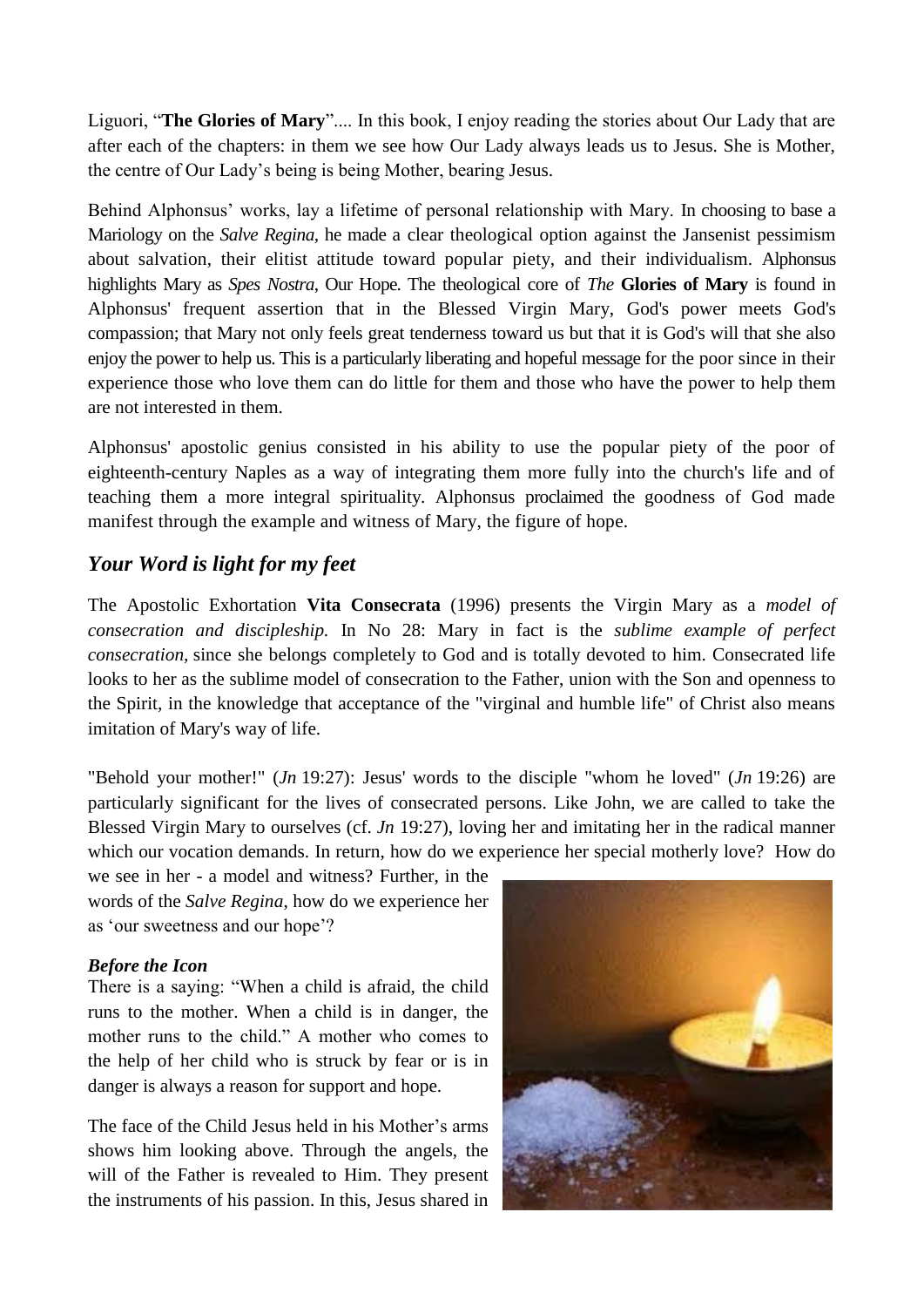Liguori, "**The Glories of Mary**".... In this book, I enjoy reading the stories about Our Lady that are after each of the chapters: in them we see how Our Lady always leads us to Jesus. She is Mother, the centre of Our Lady's being is being Mother, bearing Jesus.

Behind Alphonsus' works, lay a lifetime of personal relationship with Mary. In choosing to base a Mariology on the *Salve Regina,* he made a clear theological option against the Jansenist pessimism about salvation, their elitist attitude toward popular piety, and their individualism. Alphonsus highlights Mary as *Spes Nostra*, Our Hope. The theological core of *The* **Glories of Mary** is found in Alphonsus' frequent assertion that in the Blessed Virgin Mary, God's power meets God's compassion; that Mary not only feels great tenderness toward us but that it is God's will that she also enjoy the power to help us. This is a particularly liberating and hopeful message for the poor since in their experience those who love them can do little for them and those who have the power to help them are not interested in them.

Alphonsus' apostolic genius consisted in his ability to use the popular piety of the poor of eighteenth-century Naples as a way of integrating them more fully into the church's life and of teaching them a more integral spirituality. Alphonsus proclaimed the goodness of God made manifest through the example and witness of Mary, the figure of hope.

# *Your Word is light for my feet*

The Apostolic Exhortation **Vita Consecrata** (1996) presents the Virgin Mary as a *model of consecration and discipleship.* In No 28: Mary in fact is the *sublime example of perfect consecration,* since she belongs completely to God and is totally devoted to him. Consecrated life looks to her as the sublime model of consecration to the Father, union with the Son and openness to the Spirit, in the knowledge that acceptance of the "virginal and humble life" of Christ also means imitation of Mary's way of life.

"Behold your mother!" (*Jn* 19:27): Jesus' words to the disciple "whom he loved" (*Jn* 19:26) are particularly significant for the lives of consecrated persons. Like John, we are called to take the Blessed Virgin Mary to ourselves (cf. *Jn* 19:27), loving her and imitating her in the radical manner which our vocation demands. In return, how do we experience her special motherly love? How do

we see in her - a model and witness? Further, in the words of the *Salve Regina*, how do we experience her as 'our sweetness and our hope'?

## *Before the Icon*

There is a saying: "When a child is afraid, the child runs to the mother. When a child is in danger, the mother runs to the child." A mother who comes to the help of her child who is struck by fear or is in danger is always a reason for support and hope.

The face of the Child Jesus held in his Mother's arms shows him looking above. Through the angels, the will of the Father is revealed to Him. They present the instruments of his passion. In this, Jesus shared in

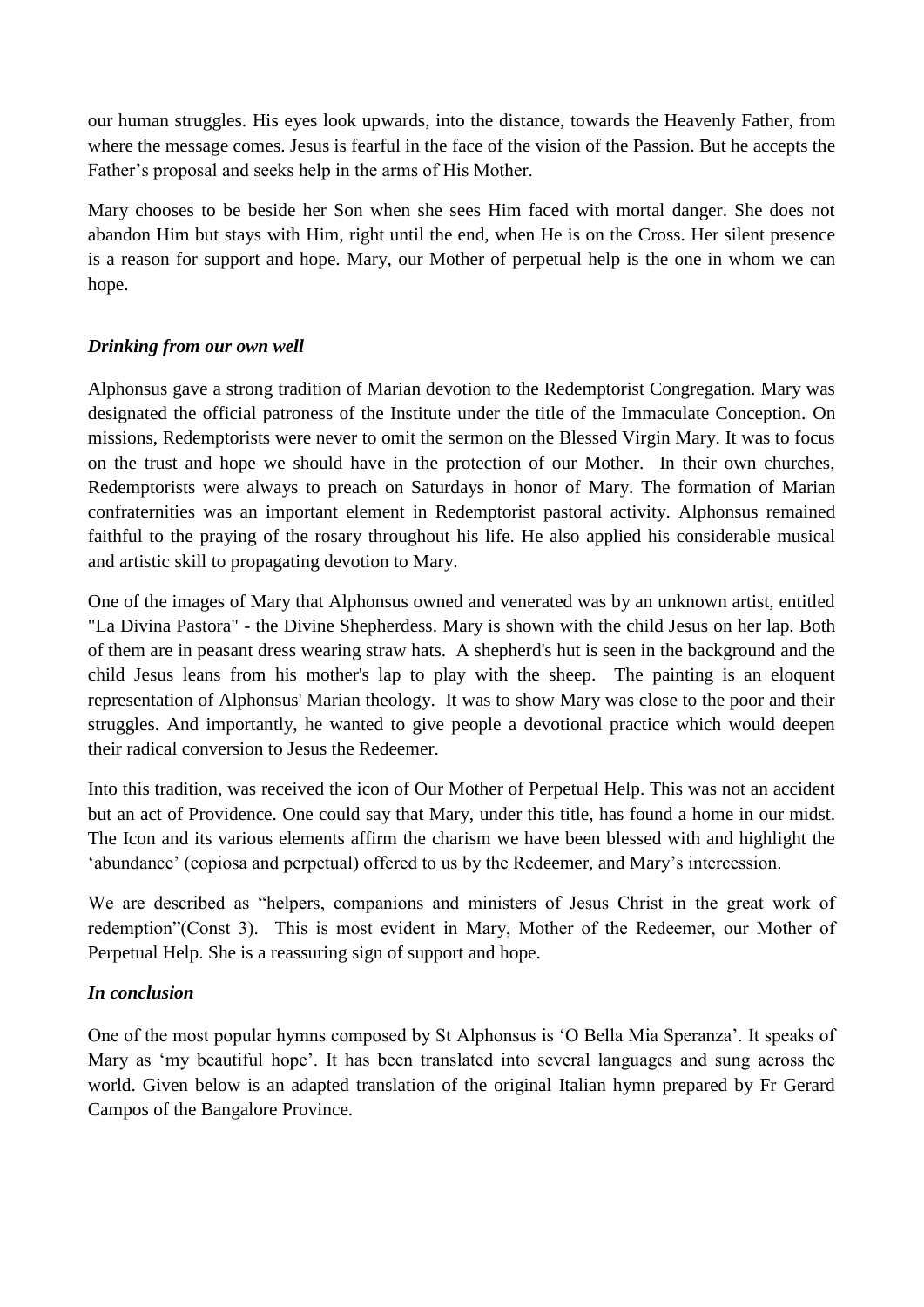our human struggles. His eyes look upwards, into the distance, towards the Heavenly Father, from where the message comes. Jesus is fearful in the face of the vision of the Passion. But he accepts the Father's proposal and seeks help in the arms of His Mother.

Mary chooses to be beside her Son when she sees Him faced with mortal danger. She does not abandon Him but stays with Him, right until the end, when He is on the Cross. Her silent presence is a reason for support and hope. Mary, our Mother of perpetual help is the one in whom we can hope.

## *Drinking from our own well*

Alphonsus gave a strong tradition of Marian devotion to the Redemptorist Congregation. Mary was designated the official patroness of the Institute under the title of the Immaculate Conception. On missions, Redemptorists were never to omit the sermon on the Blessed Virgin Mary. It was to focus on the trust and hope we should have in the protection of our Mother. In their own churches, Redemptorists were always to preach on Saturdays in honor of Mary. The formation of Marian confraternities was an important element in Redemptorist pastoral activity. Alphonsus remained faithful to the praying of the rosary throughout his life. He also applied his considerable musical and artistic skill to propagating devotion to Mary.

One of the images of Mary that Alphonsus owned and venerated was by an unknown artist, entitled "La Divina Pastora" - the Divine Shepherdess. Mary is shown with the child Jesus on her lap. Both of them are in peasant dress wearing straw hats. A shepherd's hut is seen in the background and the child Jesus leans from his mother's lap to play with the sheep. The painting is an eloquent representation of Alphonsus' Marian theology. It was to show Mary was close to the poor and their struggles. And importantly, he wanted to give people a devotional practice which would deepen their radical conversion to Jesus the Redeemer.

Into this tradition, was received the icon of Our Mother of Perpetual Help. This was not an accident but an act of Providence. One could say that Mary, under this title, has found a home in our midst. The Icon and its various elements affirm the charism we have been blessed with and highlight the 'abundance' (copiosa and perpetual) offered to us by the Redeemer, and Mary's intercession.

We are described as "helpers, companions and ministers of Jesus Christ in the great work of redemption"(Const 3). This is most evident in Mary, Mother of the Redeemer, our Mother of Perpetual Help. She is a reassuring sign of support and hope.

## *In conclusion*

One of the most popular hymns composed by St Alphonsus is 'O Bella Mia Speranza'. It speaks of Mary as 'my beautiful hope'. It has been translated into several languages and sung across the world. Given below is an adapted translation of the original Italian hymn prepared by Fr Gerard Campos of the Bangalore Province.